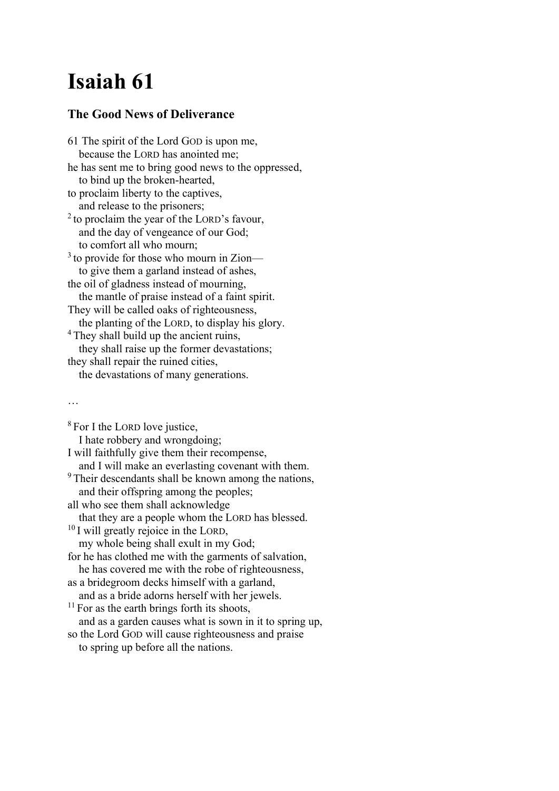## Isaiah 61

### The Good News of Deliverance

61 The spirit of the Lord GOD is upon me, because the LORD has anointed me; he has sent me to bring good news to the oppressed, to bind up the broken-hearted, to proclaim liberty to the captives, and release to the prisoners;  $^{2}$  to proclaim the year of the LORD's favour, and the day of vengeance of our God; to comfort all who mourn;  $3$  to provide for those who mourn in Zion to give them a garland instead of ashes, the oil of gladness instead of mourning, the mantle of praise instead of a faint spirit. They will be called oaks of righteousness, the planting of the LORD, to display his glory. <sup>4</sup> They shall build up the ancient ruins, they shall raise up the former devastations; they shall repair the ruined cities, the devastations of many generations.

#### …

<sup>8</sup> For I the LORD love justice, I hate robbery and wrongdoing; I will faithfully give them their recompense, and I will make an everlasting covenant with them. <sup>9</sup>Their descendants shall be known among the nations, and their offspring among the peoples; all who see them shall acknowledge that they are a people whom the LORD has blessed.  $10$  I will greatly rejoice in the LORD, my whole being shall exult in my God; for he has clothed me with the garments of salvation, he has covered me with the robe of righteousness, as a bridegroom decks himself with a garland, and as a bride adorns herself with her jewels.  $11$  For as the earth brings forth its shoots, and as a garden causes what is sown in it to spring up, so the Lord GOD will cause righteousness and praise to spring up before all the nations.